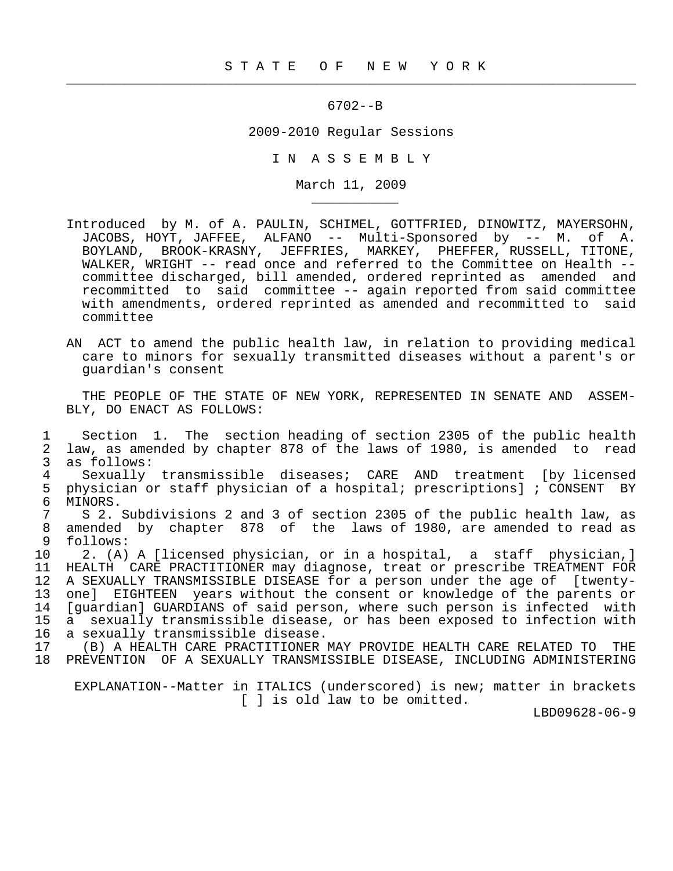$\frac{1}{2}$  , and the contract of the contract of the contract of the contract of the contract of the contract of the contract of the contract of the contract of the contract of the contract of the contract of the contract

\_\_\_\_\_\_\_\_\_\_\_

## 6702--B

## 2009-2010 Regular Sessions

I N A S S E M B L Y

March 11, 2009

- Introduced by M. of A. PAULIN, SCHIMEL, GOTTFRIED, DINOWITZ, MAYERSOHN, JACOBS, HOYT, JAFFEE, ALFANO -- Multi-Sponsored by -- M. of A. BOYLAND, BROOK-KRASNY, JEFFRIES, MARKEY, PHEFFER, RUSSELL, TITONE, WALKER, WRIGHT -- read once and referred to the Committee on Health - committee discharged, bill amended, ordered reprinted as amended and recommitted to said committee -- again reported from said committee with amendments, ordered reprinted as amended and recommitted to said committee
- AN ACT to amend the public health law, in relation to providing medical care to minors for sexually transmitted diseases without a parent's or guardian's consent

 THE PEOPLE OF THE STATE OF NEW YORK, REPRESENTED IN SENATE AND ASSEM- BLY, DO ENACT AS FOLLOWS:

1 Section 1. The section heading of section 2305 of the public health<br>2 law, as amended by chapter 878 of the laws of 1980, is amended to read 2 law, as amended by chapter 878 of the laws of 1980, is amended to read 3 as follows: 4 Sexually transmissible diseases; CARE AND treatment [by licensed<br>5 physician or staff physician of a hospital; prescriptions]; CONSENT BY 5 physician or staff physician of a hospital; prescriptions]; CONSENT BY<br>6 MINORS. 6 MINORS.<br>7 S 2. 7 S 2. Subdivisions 2 and 3 of section 2305 of the public health law, as<br>8 amended by chapter 878 of the laws of 1980, are amended to read as 8 amended by chapter 878 of the laws of 1980, are amended to read as follows: follows: 10 2. (A) A [licensed physician, or in a hospital, a staff physician,]<br>11 HEALTH CARE PRACTITIONER may diagnose, treat or prescribe TREATMENT FOR 11 HEALTH CARE PRACTITIONER may diagnose, treat or prescribe TREATMENT FOR<br>12 A SEXUALLY TRANSMISSIBLE DISEASE for a person under the age of [twenty-12 A SEXUALLY TRANSMISSIBLE DISEASE for a person under the age of [twenty-<br>13 one] EIGHTEEN years without the consent or knowledge of the parents or 13 one] EIGHTEEN years without the consent or knowledge of the parents or<br>14 [quardian] GUARDIANS of said person, where such person is infected with 14 [guardian] GUARDIANS of said person, where such person is infected with<br>15 a sexually transmissible disease, or has been exposed to infection with 15 a sexually transmissible disease, or has been exposed to infection with<br>16 a sexually transmissible disease. 16 a sexually transmissible disease.<br>17 (B) A HEALTH CARE PRACTITIONER 17 (B) A HEALTH CARE PRACTITIONER MAY PROVIDE HEALTH CARE RELATED TO THE 18 PREVENTION OF A SEXUALLY TRANSMISSIBLE DISEASE, INCLUDING ADMINISTERING

 EXPLANATION--Matter in ITALICS (underscored) is new; matter in brackets [ ] is old law to be omitted.

LBD09628-06-9